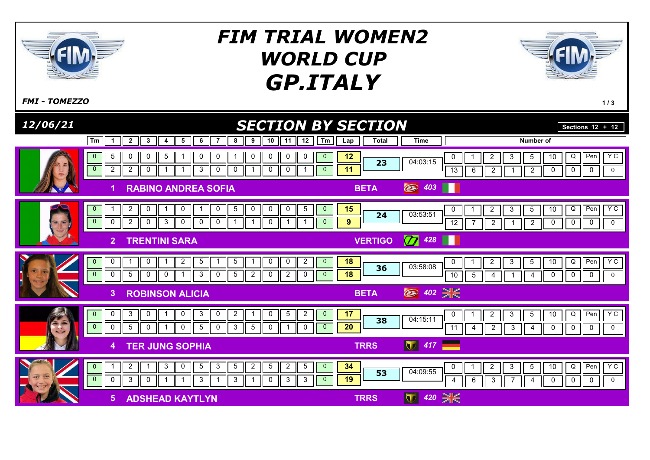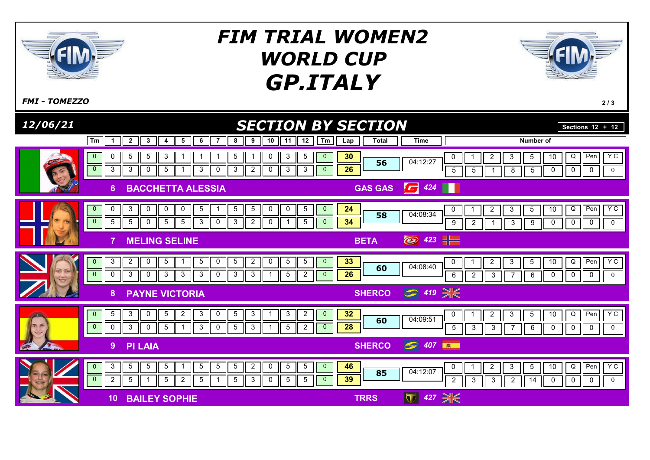